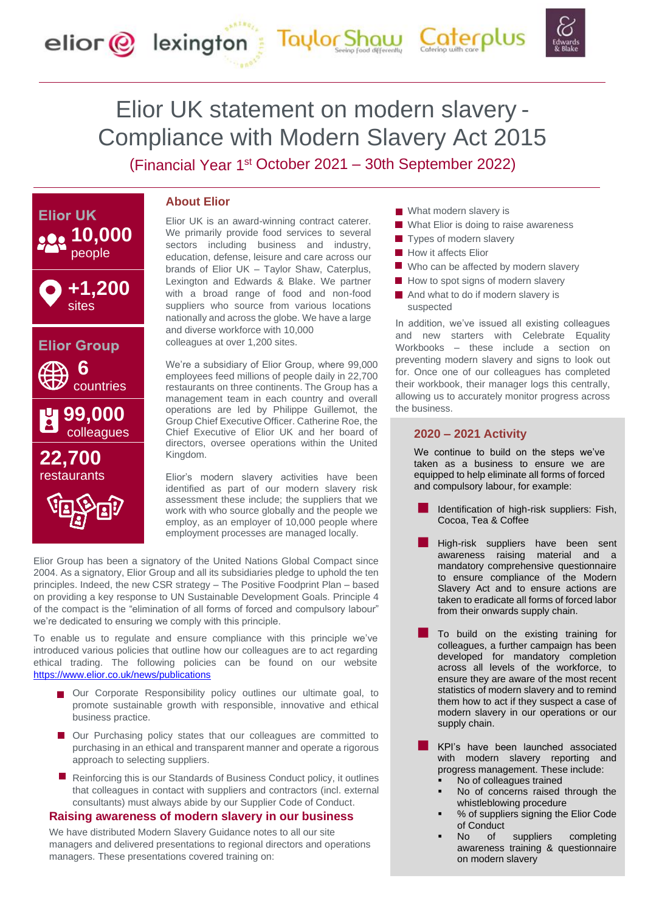# Elior UK statement on modern slavery - Compliance with Modern Slavery Act 2015

elior @ lexington Taylor Shaw Caterplus

(Financial Year 1<sup>st</sup> October 2021 – 30th September 2022)



## **About Elior**

Elior UK is an award-winning contract caterer. We primarily provide food services to several sectors including business and industry, education, defense, leisure and care across our brands of Elior UK – Taylor Shaw, Caterplus, Lexington and Edwards & Blake. We partner with a broad range of food and non-food suppliers who source from various locations nationally and across the globe. We have a large and diverse workforce with 10,000 colleagues at over 1,200 sites.

We're a subsidiary of Elior Group, where 99,000 employees feed millions of people daily in 22,700 restaurants on three continents. The Group has a management team in each country and overall operations are led by Philippe Guillemot, the Group Chief Executive Officer. Catherine Roe, the Chief Executive of Elior UK and her board of directors, oversee operations within the United Kingdom.

Elior's modern slavery activities have been identified as part of our modern slavery risk assessment these include; the suppliers that we work with who source globally and the people we employ, as an employer of 10,000 people where employment processes are managed locally.

Elior Group has been a signatory of the United Nations Global Compact since 2004. As a signatory, Elior Group and all its subsidiaries pledge to uphold the ten principles. Indeed, the new CSR strategy – The Positive Foodprint Plan – based on providing a key response to UN Sustainable Development Goals. Principle 4 of the compact is the "elimination of all forms of forced and compulsory labour" we're dedicated to ensuring we comply with this principle.

To enable us to regulate and ensure compliance with this principle we've introduced various policies that outline how our colleagues are to act regarding ethical trading. The following policies can be found on our website <https://www.elior.co.uk/news/publications>

- Our Corporate Responsibility policy outlines our ultimate goal, to promote sustainable growth with responsible, innovative and ethical business practice.
- Our Purchasing policy states that our colleagues are committed to purchasing in an ethical and transparent manner and operate a rigorous approach to selecting suppliers.
- Reinforcing this is our Standards of Business Conduct policy, it outlines that colleagues in contact with suppliers and contractors (incl. external consultants) must always abide by our Supplier Code of Conduct.

#### **Raising awareness of modern slavery in our business**

We have distributed Modern Slavery Guidance notes to all our site managers and delivered presentations to regional directors and operations managers. These presentations covered training on:

- **What modern slavery is**
- What Elior is doing to raise awareness
- $\blacksquare$  Types of modern slavery
- **How it affects Elior**
- Who can be affected by modern slavery
- $\blacksquare$  How to spot signs of modern slavery
- $\blacksquare$  And what to do if modern slavery is suspected

In addition, we've issued all existing colleagues and new starters with Celebrate Equality Workbooks – these include a section on preventing modern slavery and signs to look out for. Once one of our colleagues has completed their workbook, their manager logs this centrally, allowing us to accurately monitor progress across the business.

#### **2020 – 2021 Activity**

We continue to build on the steps we've taken as a business to ensure we are equipped to help eliminate all forms of forced and compulsory labour, for example:

- Identification of high-risk suppliers: Fish, Cocoa, Tea & Coffee
- High-risk suppliers have been sent awareness raising material and a mandatory comprehensive questionnaire to ensure compliance of the Modern Slavery Act and to ensure actions are taken to eradicate all forms of forced labor from their onwards supply chain.
- To build on the existing training for colleagues, a further campaign has been developed for mandatory completion across all levels of the workforce, to ensure they are aware of the most recent statistics of modern slavery and to remind them how to act if they suspect a case of modern slavery in our operations or our supply chain.
- KPI's have been launched associated with modern slavery reporting and progress management. These include:
	- No of colleagues trained
	- No of concerns raised through the whistleblowing procedure
	- % of suppliers signing the Elior Code of Conduct
	- No of suppliers completing awareness training & questionnaire on modern slavery